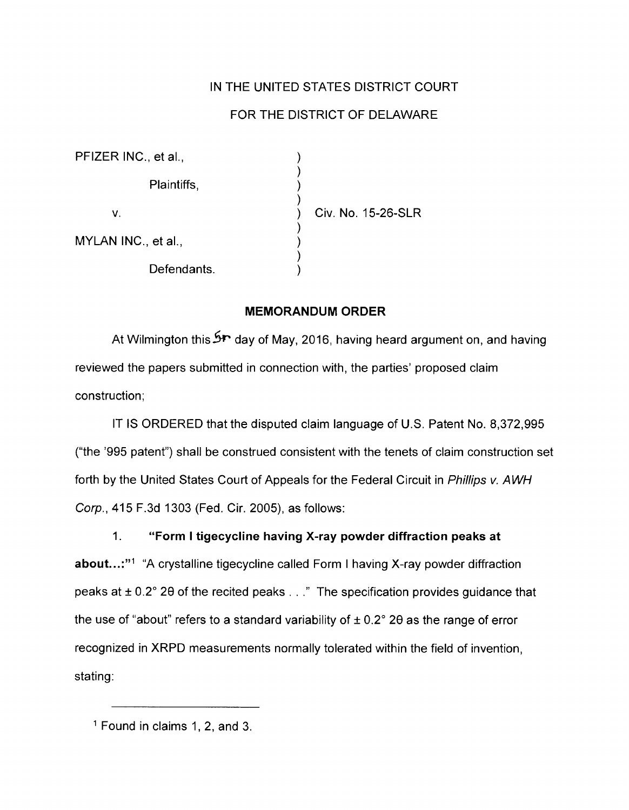## IN THE UNITED STATES DISTRICT COURT

## FOR THE DISTRICT OF DELAWARE

| PFIZER INC., et al., |                    |
|----------------------|--------------------|
| Plaintiffs,          |                    |
| V.                   | Civ. No. 15-26-SLR |
| MYLAN INC., et al.,  |                    |
| Defendants.          |                    |

## **MEMORANDUM ORDER**

At Wilmington this S<sup>P</sup> day of May, 2016, having heard argument on, and having reviewed the papers submitted in connection with, the parties' proposed claim construction;

IT IS ORDERED that the disputed claim language of U.S. Patent No. 8,372,995 ("the '995 patent") shall be construed consistent with the tenets of claim construction set forth by the United States Court of Appeals for the Federal Circuit in Phillips v. AWH Corp., 415 F.3d 1303 (Fed. Cir. 2005), as follows:

## 1. **"Form I tigecycline having X-ray powder diffraction peaks at**

**about...:**"<sup>1</sup> "A crystalline tigecycline called Form I having X-ray powder diffraction peaks at  $\pm$  0.2° 20 of the recited peaks ..." The specification provides guidance that the use of "about" refers to a standard variability of  $\pm$  0.2° 20 as the range of error recognized in XRPD measurements normally tolerated within the field of invention, stating:

<sup>1</sup> Found in claims 1, 2, and 3.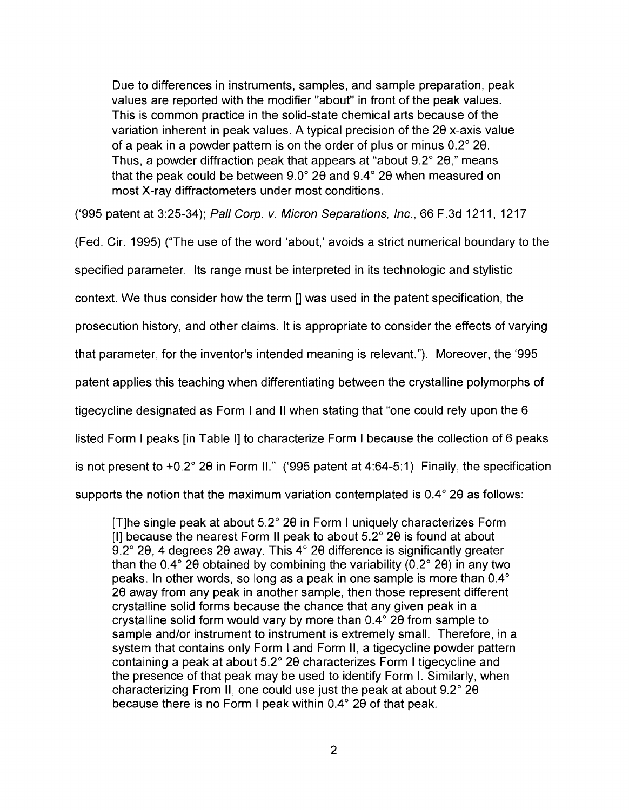Due to differences in instruments, samples, and sample preparation, peak values are reported with the modifier "about" in front of the peak values. This is common practice in the solid-state chemical arts because of the variation inherent in peak values. A typical precision of the 28 x-axis value of a peak in a powder pattern is on the order of plus or minus 0.2° 28. Thus, a powder diffraction peak that appears at "about 9.2° 28," means that the peak could be between 9.0° 28 and 9.4° 28 when measured on most X-ray diffractometers under most conditions.

('995 patent at 3:25-34); Pall Corp. v. Micron Separations, Inc., 66 F.3d 1211, 1217

(Fed. Cir. 1995) ("The use of the word 'about,' avoids a strict numerical boundary to the

specified parameter. Its range must be interpreted in its technologic and stylistic

context. We thus consider how the term [] was used in the patent specification, the

prosecution history, and other claims. It is appropriate to consider the effects of varying

that parameter, for the inventor's intended meaning is relevant."). Moreover, the '995

patent applies this teaching when differentiating between the crystalline polymorphs of

tigecycline designated as Form I and II when stating that "one could rely upon the 6

listed Form I peaks [in Table I] to characterize Form I because the collection of 6 peaks

is not present to +0.2° 28 in Form II." ('995 patent at 4:64-5:1) Finally, the specification

supports the notion that the maximum variation contemplated is  $0.4^{\circ}$  20 as follows:

[T]he single peak at about 5.2° 28 in Form I uniquely characterizes Form [I] because the nearest Form II peak to about 5.2° 28 is found at about 9.2° 20, 4 degrees 20 away. This 4° 20 difference is significantly greater than the 0.4 $^{\circ}$  28 obtained by combining the variability (0.2 $^{\circ}$  28) in any two peaks. In other words, so long as a peak in one sample is more than 0.4° 28 away from any peak in another sample, then those represent different crystalline solid forms because the chance that any given peak in a crystalline solid form would vary by more than 0.4 ° 28 from sample to sample and/or instrument to instrument is extremely small. Therefore, in a system that contains only Form I and Form II, a tigecycline powder pattern containing a peak at about 5.2° 28 characterizes Form I tigecycline and the presence of that peak may be used to identify Form I. Similarly, when characterizing From II, one could use just the peak at about 9.2° 28 because there is no Form I peak within 0.4° 20 of that peak.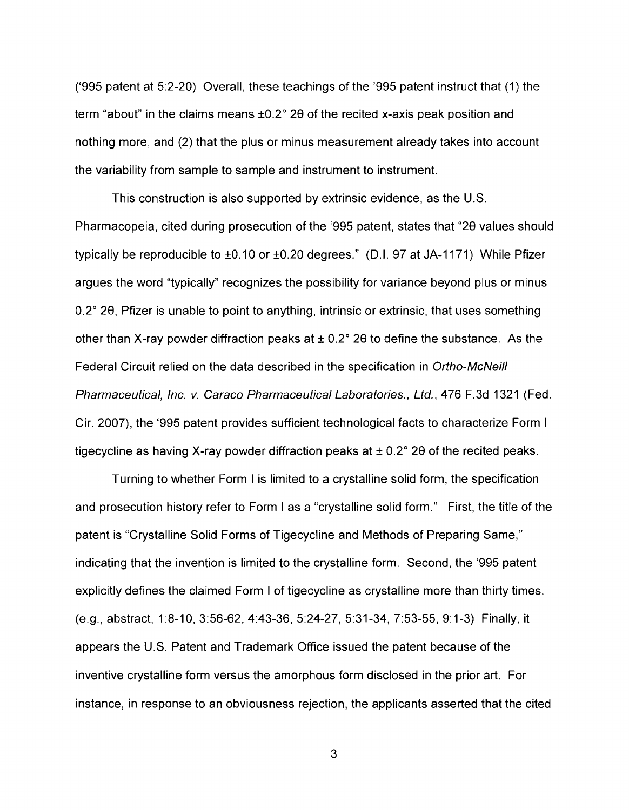('995 patent at 5:2-20) Overall, these teachings of the '995 patent instruct that (1) the term "about" in the claims means ±0.2° 29 of the recited x-axis peak position and nothing more, and (2) that the plus or minus measurement already takes into account the variability from sample to sample and instrument to instrument.

This construction is also supported by extrinsic evidence, as the U.S. Pharmacopeia, cited during prosecution of the '995 patent, states that "29 values should typically be reproducible to ±0.10 or ±0.20 degrees." (D.I. 97 at JA-1171) While Pfizer argues the word "typically" recognizes the possibility for variance beyond plus or minus 0.2° 29, Pfizer is unable to point to anything, intrinsic or extrinsic, that uses something other than X-ray powder diffraction peaks at  $\pm$  0.2° 20 to define the substance. As the Federal Circuit relied on the data described in the specification in Ortho-McNeill Pharmaceutical, Inc. v. Caraco Pharmaceutical Laboratories., Ltd., 476 F.3d 1321 (Fed. Cir. 2007), the '995 patent provides sufficient technological facts to characterize Form I tigecycline as having X-ray powder diffraction peaks at  $\pm$  0.2° 20 of the recited peaks.

Turning to whether Form I is limited to a crystalline solid form, the specification and prosecution history refer to Form I as a "crystalline solid form." First, the title of the patent is "Crystalline Solid Forms of Tigecycline and Methods of Preparing Same," indicating that the invention is limited to the crystalline form. Second, the '995 patent explicitly defines the claimed Form I of tigecycline as crystalline more than thirty times. (e.g., abstract, 1:8-10, 3:56-62, 4:43-36, 5:24-27, 5:31-34, 7:53-55, 9: 1-3) Finally, it appears the U.S. Patent and Trademark Office issued the patent because of the inventive crystalline form versus the amorphous form disclosed in the prior art. For instance, in response to an obviousness rejection, the applicants asserted that the cited

3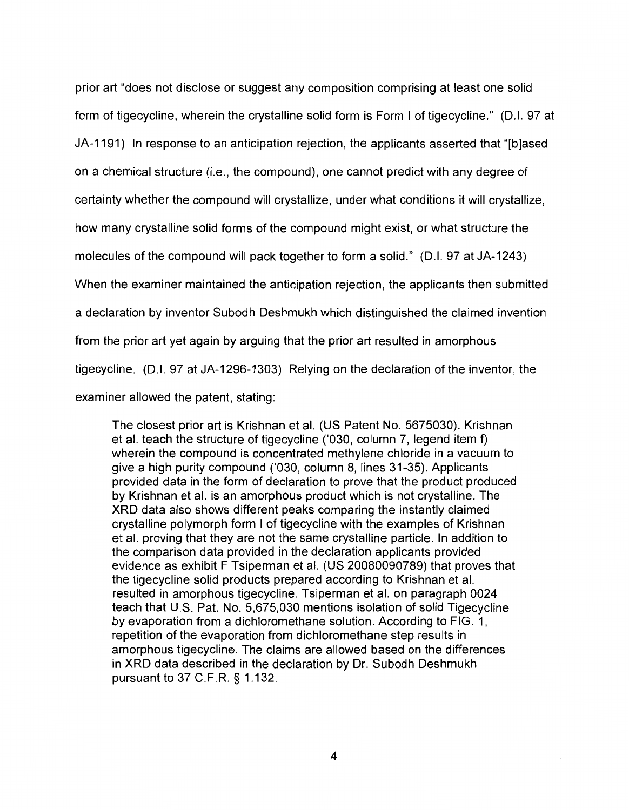prior art "does not disclose or suggest any composition comprising at least one solid form of tigecycline, wherein the crystalline solid form is Form I of tigecycline." (D.I. 97 at JA-1191) In response to an anticipation rejection, the applicants asserted that "[b]ased on a chemical structure (i.e., the compound), one cannot predict with any degree of certainty whether the compound will crystallize, under what conditions it will crystallize, how many crystalline solid forms of the compound might exist, or what structure the molecules of the compound will pack together to form a solid." (0.1. 97 at JA-1243) When the examiner maintained the anticipation rejection, the applicants then submitted a declaration by inventor Subodh Deshmukh which distinguished the claimed invention from the prior art yet again by arguing that the prior art resulted in amorphous tigecycline. (0.1. 97 at JA-1296-1303) Relying on the declaration of the inventor, the examiner allowed the patent, stating:

The closest prior art is Krishnan et al. (US Patent No. 5675030). Krishnan et al. teach the structure of tigecycline ('030, column 7, legend item f) wherein the compound is concentrated methylene chloride in a vacuum to give a high purity compound ('030, column 8, lines 31-35). Applicants provided data in the form of declaration to prove that the product produced by Krishnan et al. is an amorphous product which is not crystalline. The XRD data also shows different peaks comparing the instantly claimed crystalline polymorph form I of tigecycline with the examples of Krishnan et al. proving that they are not the same crystalline particle. In addition to the comparison data provided in the declaration applicants provided evidence as exhibit F Tsiperman et al. (US 20080090789) that proves that the tigecycline solid products prepared according to Krishnan et al. resulted in amorphous tigecycline. Tsiperman et al. on paragraph 0024 teach that U.S. Pat. No. 5,675,030 mentions isolation of solid Tigecycline by evaporation from a dichloromethane solution. According to FIG. 1, repetition of the evaporation from dichloromethane step results in amorphous tigecycline. The claims are allowed based on the differences in XRD data described in the declaration by Dr. Subodh Deshmukh pursuant to 37 C.F.R. § 1.132.